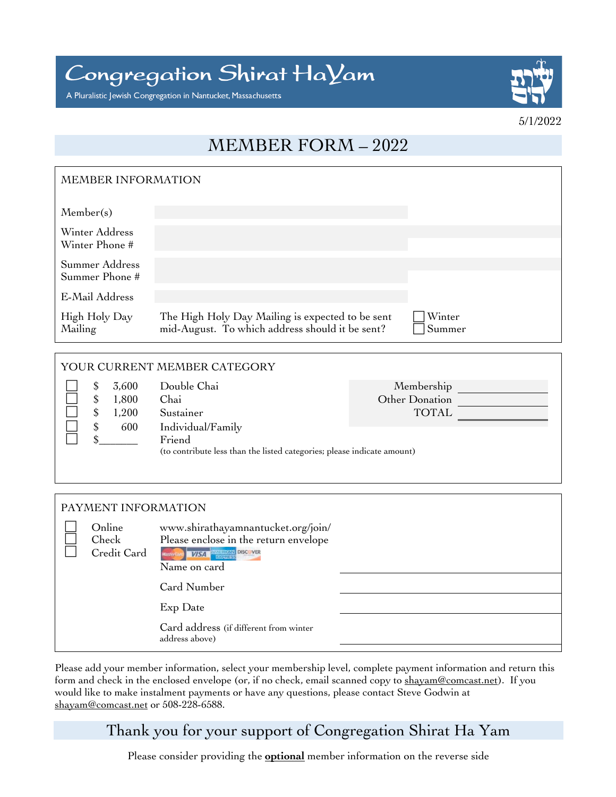Congregation Shirat HaYam

A Pluralistic Jewish Congregation in Nantucket, Massachusetts



5/1/2022

## MEMBER FORM – 2022

| MEMBER INFORMATION               |                                                                                                     |                  |  |  |
|----------------------------------|-----------------------------------------------------------------------------------------------------|------------------|--|--|
| Member(s)                        |                                                                                                     |                  |  |  |
| Winter Address<br>Winter Phone # |                                                                                                     |                  |  |  |
| Summer Address<br>Summer Phone # |                                                                                                     |                  |  |  |
| E-Mail Address                   |                                                                                                     |                  |  |  |
| High Holy Day<br>Mailing         | The High Holy Day Mailing is expected to be sent<br>mid-August. To which address should it be sent? | Winter<br>Summer |  |  |
|                                  |                                                                                                     |                  |  |  |

| YOUR CURRENT MEMBER CATEGORY |   |                         |                                                                                                        |                                              |  |
|------------------------------|---|-------------------------|--------------------------------------------------------------------------------------------------------|----------------------------------------------|--|
|                              | S | 3,600<br>1,800<br>1,200 | Double Chai<br>Chai<br>Sustainer                                                                       | Membership<br>Other Donation<br><b>TOTAL</b> |  |
|                              |   | 600                     | Individual/Family<br>Friend<br>(to contribute less than the listed categories; please indicate amount) |                                              |  |

| PAYMENT INFORMATION                                                                                                                                             |  |                                                          |  |
|-----------------------------------------------------------------------------------------------------------------------------------------------------------------|--|----------------------------------------------------------|--|
| Online<br>www.shirathayamnantucket.org/join/<br>Please enclose in the return envelope<br>Check<br>Credit Card<br>MasterCard 1757 - AND DISC VER<br>Name on card |  |                                                          |  |
|                                                                                                                                                                 |  | Card Number                                              |  |
|                                                                                                                                                                 |  | Exp Date                                                 |  |
|                                                                                                                                                                 |  | Card address (if different from winter<br>address above) |  |
|                                                                                                                                                                 |  |                                                          |  |

Please add your member information, select your membership level, complete payment information and return this form and check in the enclosed envelope (or, if no check, email scanned copy to shayam@comcast.net). If you would like to make instalment payments or have any questions, please contact Steve Godwin at shayam@comcast.net or 508-228-6588.

## Thank you for your support of Congregation Shirat Ha Yam

Please consider providing the **optional** member information on the reverse side